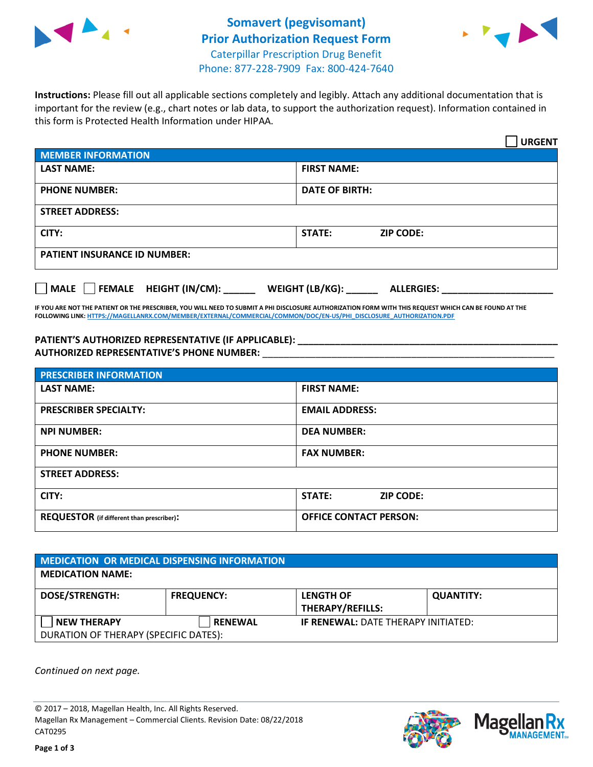



**Instructions:** Please fill out all applicable sections completely and legibly. Attach any additional documentation that is important for the review (e.g., chart notes or lab data, to support the authorization request). Information contained in this form is Protected Health Information under HIPAA.

|                                       | <b>URGENT</b>                        |  |  |  |
|---------------------------------------|--------------------------------------|--|--|--|
| <b>MEMBER INFORMATION</b>             |                                      |  |  |  |
| <b>LAST NAME:</b>                     | <b>FIRST NAME:</b>                   |  |  |  |
| <b>PHONE NUMBER:</b>                  | <b>DATE OF BIRTH:</b>                |  |  |  |
| <b>STREET ADDRESS:</b>                |                                      |  |  |  |
| CITY:                                 | <b>STATE:</b><br><b>ZIP CODE:</b>    |  |  |  |
| <b>PATIENT INSURANCE ID NUMBER:</b>   |                                      |  |  |  |
| FEMALE HEIGHT (IN/CM):<br><b>MALE</b> | WEIGHT (LB/KG):<br><b>ALLERGIES:</b> |  |  |  |

**IF YOU ARE NOT THE PATIENT OR THE PRESCRIBER, YOU WILL NEED TO SUBMIT A PHI DISCLOSURE AUTHORIZATION FORM WITH THIS REQUEST WHICH CAN BE FOUND AT THE FOLLOWING LINK[: HTTPS://MAGELLANRX.COM/MEMBER/EXTERNAL/COMMERCIAL/COMMON/DOC/EN-US/PHI\\_DISCLOSURE\\_AUTHORIZATION.PDF](https://magellanrx.com/member/external/commercial/common/doc/en-us/PHI_Disclosure_Authorization.pdf)**

**PATIENT'S AUTHORIZED REPRESENTATIVE (IF APPLICABLE): \_\_\_\_\_\_\_\_\_\_\_\_\_\_\_\_\_\_\_\_\_\_\_\_\_\_\_\_\_\_\_\_\_\_\_\_\_\_\_\_\_\_\_\_\_\_\_\_\_ AUTHORIZED REPRESENTATIVE'S PHONE NUMBER:** \_\_\_\_\_\_\_\_\_\_\_\_\_\_\_\_\_\_\_\_\_\_\_\_\_\_\_\_\_\_\_\_\_\_\_\_\_\_\_\_\_\_\_\_\_\_\_\_\_\_\_\_\_\_\_

| <b>PRESCRIBER INFORMATION</b>             |                               |  |  |  |
|-------------------------------------------|-------------------------------|--|--|--|
| <b>LAST NAME:</b>                         | <b>FIRST NAME:</b>            |  |  |  |
| <b>PRESCRIBER SPECIALTY:</b>              | <b>EMAIL ADDRESS:</b>         |  |  |  |
| <b>NPI NUMBER:</b>                        | <b>DEA NUMBER:</b>            |  |  |  |
| <b>PHONE NUMBER:</b>                      | <b>FAX NUMBER:</b>            |  |  |  |
| <b>STREET ADDRESS:</b>                    |                               |  |  |  |
| CITY:                                     | STATE:<br><b>ZIP CODE:</b>    |  |  |  |
| REQUESTOR (if different than prescriber): | <b>OFFICE CONTACT PERSON:</b> |  |  |  |

| <b>MEDICATION OR MEDICAL DISPENSING INFORMATION</b> |                   |                                            |                  |  |  |
|-----------------------------------------------------|-------------------|--------------------------------------------|------------------|--|--|
| <b>MEDICATION NAME:</b>                             |                   |                                            |                  |  |  |
| <b>DOSE/STRENGTH:</b>                               | <b>FREQUENCY:</b> | <b>LENGTH OF</b>                           | <b>QUANTITY:</b> |  |  |
|                                                     |                   | <b>THERAPY/REFILLS:</b>                    |                  |  |  |
| <b>NEW THERAPY</b>                                  | <b>RENEWAL</b>    | <b>IF RENEWAL: DATE THERAPY INITIATED:</b> |                  |  |  |
| DURATION OF THERAPY (SPECIFIC DATES):               |                   |                                            |                  |  |  |

*Continued on next page.*

© 2017 – 2018, Magellan Health, Inc. All Rights Reserved. Magellan Rx Management – Commercial Clients. Revision Date: 08/22/2018 CAT0295



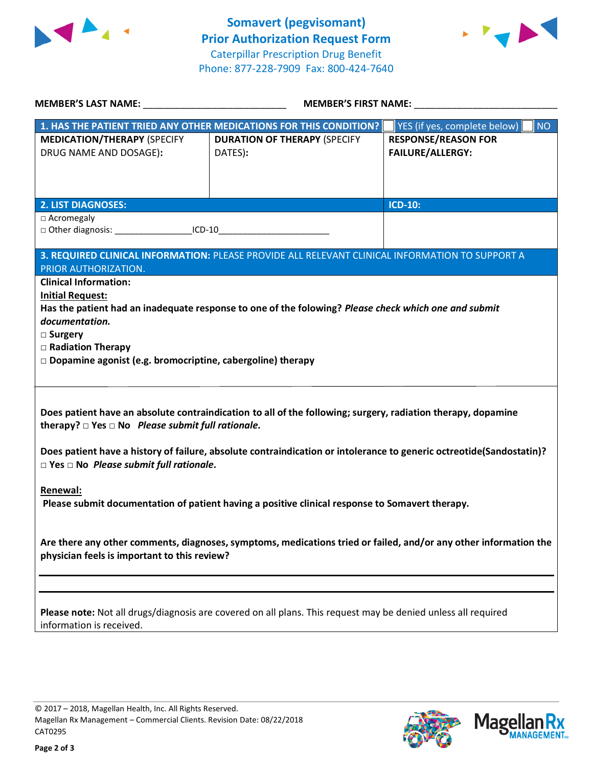



| <b>MEMBER'S LAST NAME:</b> NAME                                                                                                                                                                                                                                                            | <b>MEMBER'S FIRST NAME:</b>                                        |                                                       |  |  |  |
|--------------------------------------------------------------------------------------------------------------------------------------------------------------------------------------------------------------------------------------------------------------------------------------------|--------------------------------------------------------------------|-------------------------------------------------------|--|--|--|
|                                                                                                                                                                                                                                                                                            | 1. HAS THE PATIENT TRIED ANY OTHER MEDICATIONS FOR THIS CONDITION? | YES (if yes, complete below)<br><b>NO</b>             |  |  |  |
| <b>MEDICATION/THERAPY (SPECIFY</b><br>DRUG NAME AND DOSAGE):                                                                                                                                                                                                                               | <b>DURATION OF THERAPY (SPECIFY</b><br>DATES):                     | <b>RESPONSE/REASON FOR</b><br><b>FAILURE/ALLERGY:</b> |  |  |  |
| <b>2. LIST DIAGNOSES:</b>                                                                                                                                                                                                                                                                  |                                                                    | <b>ICD-10:</b>                                        |  |  |  |
| □ Acromegaly<br>□ Other diagnosis: ____________________ICD-10__________________________________                                                                                                                                                                                            |                                                                    |                                                       |  |  |  |
| 3. REQUIRED CLINICAL INFORMATION: PLEASE PROVIDE ALL RELEVANT CLINICAL INFORMATION TO SUPPORT A<br>PRIOR AUTHORIZATION.                                                                                                                                                                    |                                                                    |                                                       |  |  |  |
| <b>Clinical Information:</b><br><b>Initial Request:</b><br>Has the patient had an inadequate response to one of the folowing? Please check which one and submit<br>documentation.<br>□ Surgery<br>□ Radiation Therapy<br>$\Box$ Dopamine agonist (e.g. bromocriptine, cabergoline) therapy |                                                                    |                                                       |  |  |  |
| Does patient have an absolute contraindication to all of the following; surgery, radiation therapy, dopamine<br>therapy? $\square$ Yes $\square$ No Please submit full rationale.                                                                                                          |                                                                    |                                                       |  |  |  |
| Does patient have a history of failure, absolute contraindication or intolerance to generic octreotide(Sandostatin)?<br>$\square$ Yes $\square$ No Please submit full rationale.                                                                                                           |                                                                    |                                                       |  |  |  |
| Renewal:<br>Please submit documentation of patient having a positive clinical response to Somavert therapy.                                                                                                                                                                                |                                                                    |                                                       |  |  |  |
| Are there any other comments, diagnoses, symptoms, medications tried or failed, and/or any other information the<br>physician feels is important to this review?                                                                                                                           |                                                                    |                                                       |  |  |  |
|                                                                                                                                                                                                                                                                                            |                                                                    |                                                       |  |  |  |
| Please note: Not all drugs/diagnosis are covered on all plans. This request may be denied unless all required<br>information is received.                                                                                                                                                  |                                                                    |                                                       |  |  |  |
|                                                                                                                                                                                                                                                                                            |                                                                    |                                                       |  |  |  |